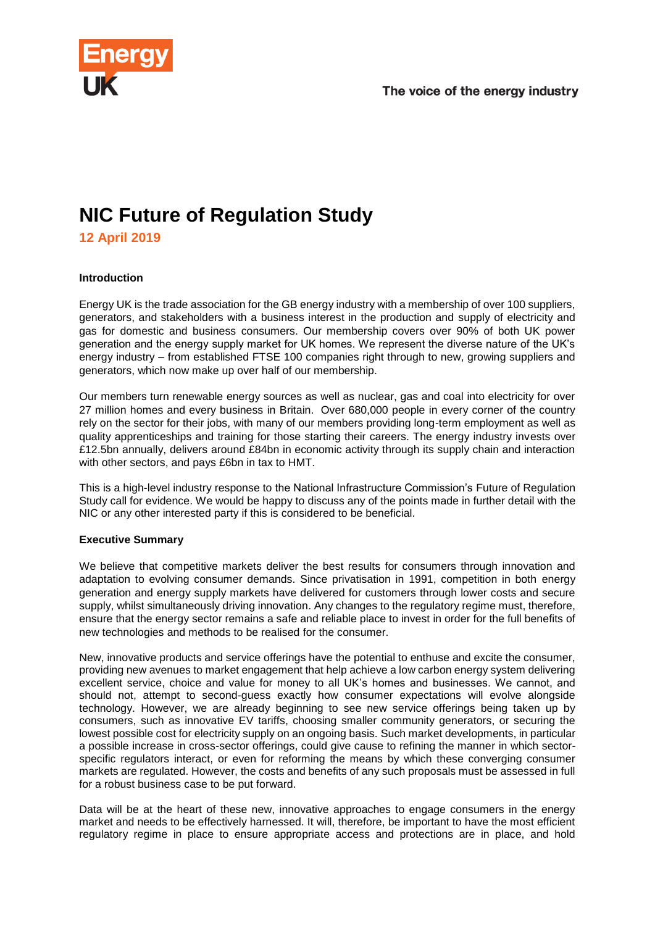

# **NIC Future of Regulation Study**

**12 April 2019**

## **Introduction**

Energy UK is the trade association for the GB energy industry with a membership of over 100 suppliers, generators, and stakeholders with a business interest in the production and supply of electricity and gas for domestic and business consumers. Our membership covers over 90% of both UK power generation and the energy supply market for UK homes. We represent the diverse nature of the UK's energy industry – from established FTSE 100 companies right through to new, growing suppliers and generators, which now make up over half of our membership.

Our members turn renewable energy sources as well as nuclear, gas and coal into electricity for over 27 million homes and every business in Britain. Over 680,000 people in every corner of the country rely on the sector for their jobs, with many of our members providing long-term employment as well as quality apprenticeships and training for those starting their careers. The energy industry invests over £12.5bn annually, delivers around £84bn in economic activity through its supply chain and interaction with other sectors, and pays £6bn in tax to HMT.

This is a high-level industry response to the National Infrastructure Commission's Future of Regulation Study call for evidence. We would be happy to discuss any of the points made in further detail with the NIC or any other interested party if this is considered to be beneficial.

## **Executive Summary**

We believe that competitive markets deliver the best results for consumers through innovation and adaptation to evolving consumer demands. Since privatisation in 1991, competition in both energy generation and energy supply markets have delivered for customers through lower costs and secure supply, whilst simultaneously driving innovation. Any changes to the regulatory regime must, therefore, ensure that the energy sector remains a safe and reliable place to invest in order for the full benefits of new technologies and methods to be realised for the consumer.

New, innovative products and service offerings have the potential to enthuse and excite the consumer, providing new avenues to market engagement that help achieve a low carbon energy system delivering excellent service, choice and value for money to all UK's homes and businesses. We cannot, and should not, attempt to second-guess exactly how consumer expectations will evolve alongside technology. However, we are already beginning to see new service offerings being taken up by consumers, such as innovative EV tariffs, choosing smaller community generators, or securing the lowest possible cost for electricity supply on an ongoing basis. Such market developments, in particular a possible increase in cross-sector offerings, could give cause to refining the manner in which sectorspecific regulators interact, or even for reforming the means by which these converging consumer markets are regulated. However, the costs and benefits of any such proposals must be assessed in full for a robust business case to be put forward.

Data will be at the heart of these new, innovative approaches to engage consumers in the energy market and needs to be effectively harnessed. It will, therefore, be important to have the most efficient regulatory regime in place to ensure appropriate access and protections are in place, and hold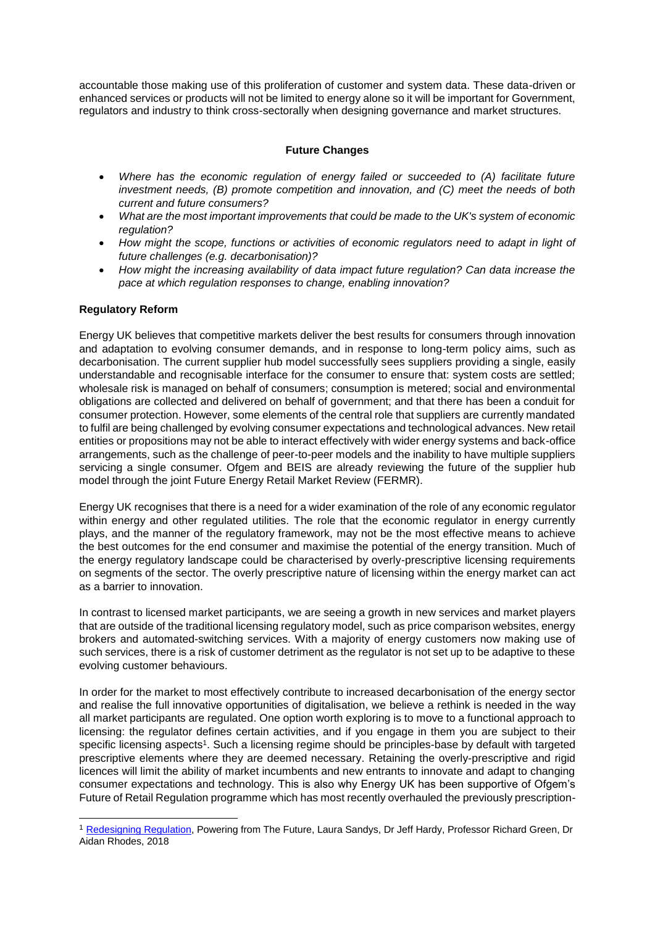accountable those making use of this proliferation of customer and system data. These data-driven or enhanced services or products will not be limited to energy alone so it will be important for Government, regulators and industry to think cross-sectorally when designing governance and market structures.

# **Future Changes**

- *Where has the economic regulation of energy failed or succeeded to (A) facilitate future investment needs, (B) promote competition and innovation, and (C) meet the needs of both current and future consumers?*
- *What are the most important improvements that could be made to the UK's system of economic regulation?*
- *How might the scope, functions or activities of economic regulators need to adapt in light of future challenges (e.g. decarbonisation)?*
- *How might the increasing availability of data impact future regulation? Can data increase the pace at which regulation responses to change, enabling innovation?*

## **Regulatory Reform**

1

Energy UK believes that competitive markets deliver the best results for consumers through innovation and adaptation to evolving consumer demands, and in response to long-term policy aims, such as decarbonisation. The current supplier hub model successfully sees suppliers providing a single, easily understandable and recognisable interface for the consumer to ensure that: system costs are settled; wholesale risk is managed on behalf of consumers; consumption is metered; social and environmental obligations are collected and delivered on behalf of government; and that there has been a conduit for consumer protection. However, some elements of the central role that suppliers are currently mandated to fulfil are being challenged by evolving consumer expectations and technological advances. New retail entities or propositions may not be able to interact effectively with wider energy systems and back-office arrangements, such as the challenge of peer-to-peer models and the inability to have multiple suppliers servicing a single consumer. Ofgem and BEIS are already reviewing the future of the supplier hub model through the joint Future Energy Retail Market Review (FERMR).

Energy UK recognises that there is a need for a wider examination of the role of any economic regulator within energy and other regulated utilities. The role that the economic regulator in energy currently plays, and the manner of the regulatory framework, may not be the most effective means to achieve the best outcomes for the end consumer and maximise the potential of the energy transition. Much of the energy regulatory landscape could be characterised by overly-prescriptive licensing requirements on segments of the sector. The overly prescriptive nature of licensing within the energy market can act as a barrier to innovation.

In contrast to licensed market participants, we are seeing a growth in new services and market players that are outside of the traditional licensing regulatory model, such as price comparison websites, energy brokers and automated-switching services. With a majority of energy customers now making use of such services, there is a risk of customer detriment as the regulator is not set up to be adaptive to these evolving customer behaviours.

In order for the market to most effectively contribute to increased decarbonisation of the energy sector and realise the full innovative opportunities of digitalisation, we believe a rethink is needed in the way all market participants are regulated. One option worth exploring is to move to a functional approach to licensing: the regulator defines certain activities, and if you engage in them you are subject to their specific licensing aspects<sup>1</sup>. Such a licensing regime should be principles-base by default with targeted prescriptive elements where they are deemed necessary. Retaining the overly-prescriptive and rigid licences will limit the ability of market incumbents and new entrants to innovate and adapt to changing consumer expectations and technology. This is also why Energy UK has been supportive of Ofgem's Future of Retail Regulation programme which has most recently overhauled the previously prescription-

<sup>&</sup>lt;sup>1</sup> [Redesigning Regulation,](https://www.imperial.ac.uk/grantham/publications/redesigning-regulation-powering-from-the-future.php) Powering from The Future, Laura Sandys, Dr Jeff Hardy, Professor Richard Green, Dr Aidan Rhodes, 2018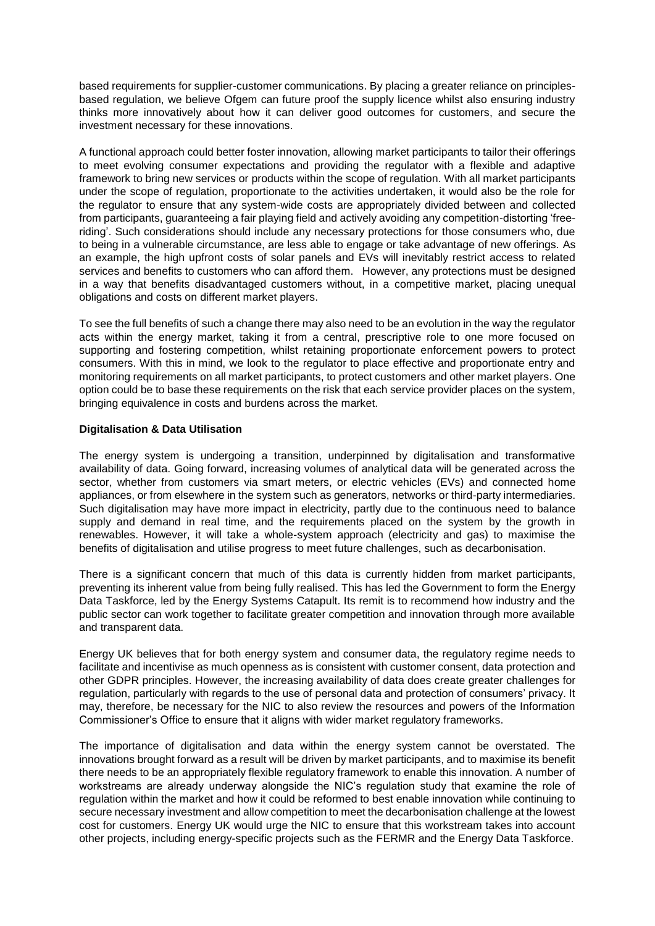based requirements for supplier-customer communications. By placing a greater reliance on principlesbased regulation, we believe Ofgem can future proof the supply licence whilst also ensuring industry thinks more innovatively about how it can deliver good outcomes for customers, and secure the investment necessary for these innovations.

A functional approach could better foster innovation, allowing market participants to tailor their offerings to meet evolving consumer expectations and providing the regulator with a flexible and adaptive framework to bring new services or products within the scope of regulation. With all market participants under the scope of regulation, proportionate to the activities undertaken, it would also be the role for the regulator to ensure that any system-wide costs are appropriately divided between and collected from participants, guaranteeing a fair playing field and actively avoiding any competition-distorting 'freeriding'. Such considerations should include any necessary protections for those consumers who, due to being in a vulnerable circumstance, are less able to engage or take advantage of new offerings. As an example, the high upfront costs of solar panels and EVs will inevitably restrict access to related services and benefits to customers who can afford them. However, any protections must be designed in a way that benefits disadvantaged customers without, in a competitive market, placing unequal obligations and costs on different market players.

To see the full benefits of such a change there may also need to be an evolution in the way the regulator acts within the energy market, taking it from a central, prescriptive role to one more focused on supporting and fostering competition, whilst retaining proportionate enforcement powers to protect consumers. With this in mind, we look to the regulator to place effective and proportionate entry and monitoring requirements on all market participants, to protect customers and other market players. One option could be to base these requirements on the risk that each service provider places on the system, bringing equivalence in costs and burdens across the market.

#### **Digitalisation & Data Utilisation**

The energy system is undergoing a transition, underpinned by digitalisation and transformative availability of data. Going forward, increasing volumes of analytical data will be generated across the sector, whether from customers via smart meters, or electric vehicles (EVs) and connected home appliances, or from elsewhere in the system such as generators, networks or third-party intermediaries. Such digitalisation may have more impact in electricity, partly due to the continuous need to balance supply and demand in real time, and the requirements placed on the system by the growth in renewables. However, it will take a whole-system approach (electricity and gas) to maximise the benefits of digitalisation and utilise progress to meet future challenges, such as decarbonisation.

There is a significant concern that much of this data is currently hidden from market participants, preventing its inherent value from being fully realised. This has led the Government to form the Energy Data Taskforce, led by the Energy Systems Catapult. Its remit is to recommend how industry and the public sector can work together to facilitate greater competition and innovation through more available and transparent data.

Energy UK believes that for both energy system and consumer data, the regulatory regime needs to facilitate and incentivise as much openness as is consistent with customer consent, data protection and other GDPR principles. However, the increasing availability of data does create greater challenges for regulation, particularly with regards to the use of personal data and protection of consumers' privacy. It may, therefore, be necessary for the NIC to also review the resources and powers of the Information Commissioner's Office to ensure that it aligns with wider market regulatory frameworks.

The importance of digitalisation and data within the energy system cannot be overstated. The innovations brought forward as a result will be driven by market participants, and to maximise its benefit there needs to be an appropriately flexible regulatory framework to enable this innovation. A number of workstreams are already underway alongside the NIC's regulation study that examine the role of regulation within the market and how it could be reformed to best enable innovation while continuing to secure necessary investment and allow competition to meet the decarbonisation challenge at the lowest cost for customers. Energy UK would urge the NIC to ensure that this workstream takes into account other projects, including energy-specific projects such as the FERMR and the Energy Data Taskforce.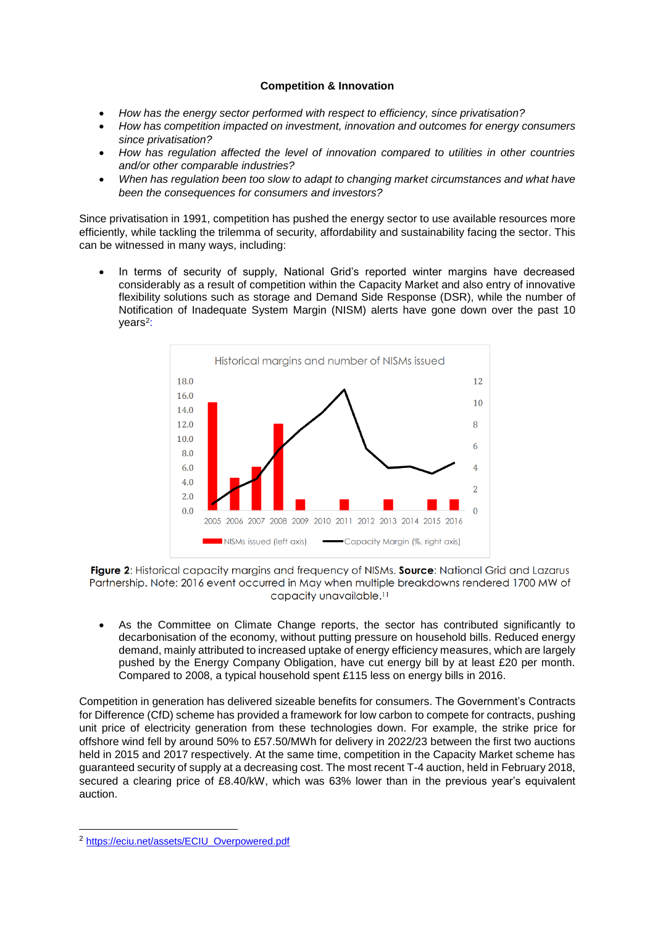# **Competition & Innovation**

- *How has the energy sector performed with respect to efficiency, since privatisation?*
- *How has competition impacted on investment, innovation and outcomes for energy consumers since privatisation?*
- *How has regulation affected the level of innovation compared to utilities in other countries and/or other comparable industries?*
- *When has regulation been too slow to adapt to changing market circumstances and what have been the consequences for consumers and investors?*

Since privatisation in 1991, competition has pushed the energy sector to use available resources more efficiently, while tackling the trilemma of security, affordability and sustainability facing the sector. This can be witnessed in many ways, including:

• In terms of security of supply, National Grid's reported winter margins have decreased considerably as a result of competition within the Capacity Market and also entry of innovative flexibility solutions such as storage and Demand Side Response (DSR), while the number of Notification of Inadequate System Margin (NISM) alerts have [gone down over the past 10](https://eciu.net/assets/ECIU_Overpowered.pdf)  [years](https://eciu.net/assets/ECIU_Overpowered.pdf)<sup>2</sup>:



Figure 2: Historical capacity margins and frequency of NISMs. Source: National Grid and Lazarus Partnership. Note: 2016 event occurred in May when multiple breakdowns rendered 1700 MW of capacity unavailable.<sup>11</sup>

• As the Committee on Climate Change reports, the sector has contributed significantly to decarbonisation of the economy, without putting pressure on household bills. Reduced energy demand, mainly attributed to increased uptake of energy efficiency measures, which are largely pushed by the Energy Company Obligation, have cut energy bill by at least £20 per month. Compared to 2008, a typical household spent £115 less on energy bills in 2016.

Competition in generation has delivered sizeable benefits for consumers. The Government's Contracts for Difference (CfD) scheme has provided a framework for low carbon to compete for contracts, pushing unit price of electricity generation from these technologies down. For example, the strike price for offshore wind fell by around 50% to £57.50/MWh for delivery in 2022/23 between the first two auctions held in 2015 and 2017 respectively. At the same time, competition in the Capacity Market scheme has guaranteed security of supply at a decreasing cost. The most recent T-4 auction, held in February 2018, secured a clearing price of £8.40/kW, which was 63% lower than in the previous year's equivalent auction.

-

<sup>2</sup> [https://eciu.net/assets/ECIU\\_Overpowered.pdf](https://eciu.net/assets/ECIU_Overpowered.pdf)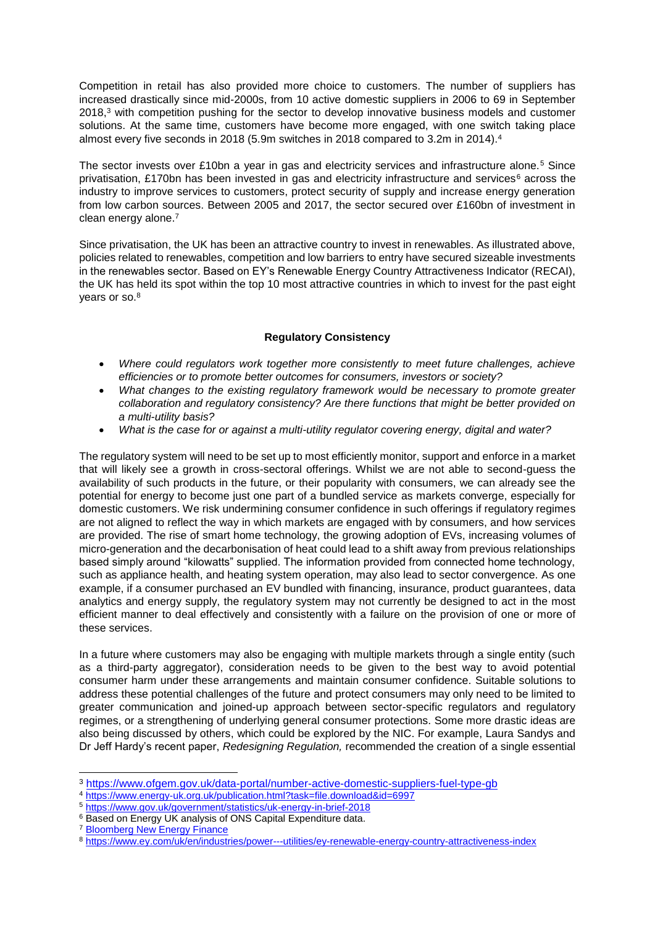Competition in retail has also provided more choice to customers. The number of suppliers has increased drastically since mid-2000s, from 10 active domestic suppliers in 2006 to 69 in September 2018,<sup>3</sup> with competition pushing for the sector to develop innovative business models and customer solutions. At the same time, customers have become more engaged, with one switch taking place almost every five seconds in 2018 (5.9m switches in 2018 compared to 3.2m in 2014).<sup>4</sup>

The sector invests over £10bn a year in gas and electricity services and infrastructure alone.<sup>5</sup> Since privatisation, £170bn has been invested in gas and electricity infrastructure and services<sup>6</sup> across the industry to improve services to customers, protect security of supply and increase energy generation from low carbon sources. Between 2005 and 2017, the sector secured over £160bn of investment in clean energy alone.<sup>7</sup>

Since privatisation, the UK has been an attractive country to invest in renewables. As illustrated above, policies related to renewables, competition and low barriers to entry have secured sizeable investments in the renewables sector. Based on EY's Renewable Energy Country Attractiveness Indicator (RECAI), the UK has held its spot within the top 10 most attractive countries in which to invest for the past eight years or so.<sup>8</sup>

## **Regulatory Consistency**

- *Where could regulators work together more consistently to meet future challenges, achieve efficiencies or to promote better outcomes for consumers, investors or society?*
- *What changes to the existing regulatory framework would be necessary to promote greater collaboration and regulatory consistency? Are there functions that might be better provided on a multi-utility basis?*
- *What is the case for or against a multi-utility regulator covering energy, digital and water?*

The regulatory system will need to be set up to most efficiently monitor, support and enforce in a market that will likely see a growth in cross-sectoral offerings. Whilst we are not able to second-guess the availability of such products in the future, or their popularity with consumers, we can already see the potential for energy to become just one part of a bundled service as markets converge, especially for domestic customers. We risk undermining consumer confidence in such offerings if regulatory regimes are not aligned to reflect the way in which markets are engaged with by consumers, and how services are provided. The rise of smart home technology, the growing adoption of EVs, increasing volumes of micro-generation and the decarbonisation of heat could lead to a shift away from previous relationships based simply around "kilowatts" supplied. The information provided from connected home technology, such as appliance health, and heating system operation, may also lead to sector convergence. As one example, if a consumer purchased an EV bundled with financing, insurance, product guarantees, data analytics and energy supply, the regulatory system may not currently be designed to act in the most efficient manner to deal effectively and consistently with a failure on the provision of one or more of these services.

In a future where customers may also be engaging with multiple markets through a single entity (such as a third-party aggregator), consideration needs to be given to the best way to avoid potential consumer harm under these arrangements and maintain consumer confidence. Suitable solutions to address these potential challenges of the future and protect consumers may only need to be limited to greater communication and joined-up approach between sector-specific regulators and regulatory regimes, or a strengthening of underlying general consumer protections. Some more drastic ideas are also being discussed by others, which could be explored by the NIC. For example, Laura Sandys and Dr Jeff Hardy's recent paper, *Redesigning Regulation,* recommended the creation of a single essential

- <sup>4</sup> <https://www.energy-uk.org.uk/publication.html?task=file.download&id=6997>
- <sup>5</sup> <https://www.gov.uk/government/statistics/uk-energy-in-brief-2018>

<sup>7</sup> [Bloomberg New Energy Finance](https://data.bloomberglp.com/bnef/sites/14/2018/07/BNEF-Clean-Energy-Investment-Trends-1H-2018.pdf)

-

<sup>3</sup> <https://www.ofgem.gov.uk/data-portal/number-active-domestic-suppliers-fuel-type-gb>

<sup>&</sup>lt;sup>6</sup> Based on Energy UK analysis of ONS Capital Expenditure data.

<sup>8</sup> <https://www.ey.com/uk/en/industries/power---utilities/ey-renewable-energy-country-attractiveness-index>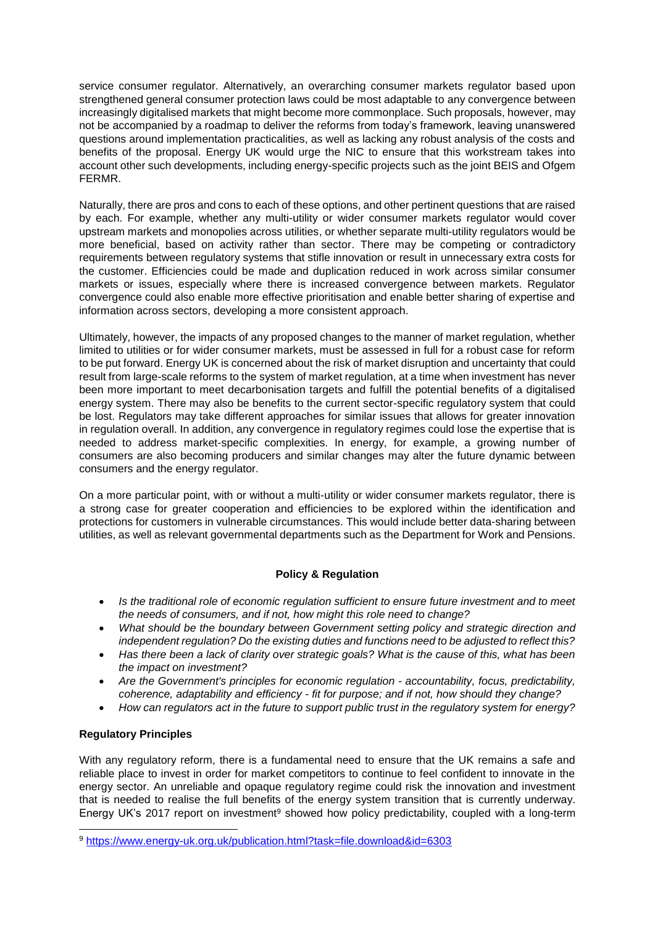service consumer regulator. Alternatively, an overarching consumer markets regulator based upon strengthened general consumer protection laws could be most adaptable to any convergence between increasingly digitalised markets that might become more commonplace. Such proposals, however, may not be accompanied by a roadmap to deliver the reforms from today's framework, leaving unanswered questions around implementation practicalities, as well as lacking any robust analysis of the costs and benefits of the proposal. Energy UK would urge the NIC to ensure that this workstream takes into account other such developments, including energy-specific projects such as the joint BEIS and Ofgem FERMR.

Naturally, there are pros and cons to each of these options, and other pertinent questions that are raised by each. For example, whether any multi-utility or wider consumer markets regulator would cover upstream markets and monopolies across utilities, or whether separate multi-utility regulators would be more beneficial, based on activity rather than sector. There may be competing or contradictory requirements between regulatory systems that stifle innovation or result in unnecessary extra costs for the customer. Efficiencies could be made and duplication reduced in work across similar consumer markets or issues, especially where there is increased convergence between markets. Regulator convergence could also enable more effective prioritisation and enable better sharing of expertise and information across sectors, developing a more consistent approach.

Ultimately, however, the impacts of any proposed changes to the manner of market regulation, whether limited to utilities or for wider consumer markets, must be assessed in full for a robust case for reform to be put forward. Energy UK is concerned about the risk of market disruption and uncertainty that could result from large-scale reforms to the system of market regulation, at a time when investment has never been more important to meet decarbonisation targets and fulfill the potential benefits of a digitalised energy system. There may also be benefits to the current sector-specific regulatory system that could be lost. Regulators may take different approaches for similar issues that allows for greater innovation in regulation overall. In addition, any convergence in regulatory regimes could lose the expertise that is needed to address market-specific complexities. In energy, for example, a growing number of consumers are also becoming producers and similar changes may alter the future dynamic between consumers and the energy regulator.

On a more particular point, with or without a multi-utility or wider consumer markets regulator, there is a strong case for greater cooperation and efficiencies to be explored within the identification and protections for customers in vulnerable circumstances. This would include better data-sharing between utilities, as well as relevant governmental departments such as the Department for Work and Pensions.

## **Policy & Regulation**

- *Is the traditional role of economic regulation sufficient to ensure future investment and to meet the needs of consumers, and if not, how might this role need to change?*
- *What should be the boundary between Government setting policy and strategic direction and independent regulation? Do the existing duties and functions need to be adjusted to reflect this?*
- *Has there been a lack of clarity over strategic goals? What is the cause of this, what has been the impact on investment?*
- *Are the Government's principles for economic regulation - accountability, focus, predictability, coherence, adaptability and efficiency - fit for purpose; and if not, how should they change?*
- *How can regulators act in the future to support public trust in the regulatory system for energy?*

## **Regulatory Principles**

-

With any regulatory reform, there is a fundamental need to ensure that the UK remains a safe and reliable place to invest in order for market competitors to continue to feel confident to innovate in the energy sector. An unreliable and opaque regulatory regime could risk the innovation and investment that is needed to realise the full benefits of the energy system transition that is currently underway. Energy UK's 2017 report on investment<sup>9</sup> showed how policy predictability, coupled with a long-term

<sup>9</sup> <https://www.energy-uk.org.uk/publication.html?task=file.download&id=6303>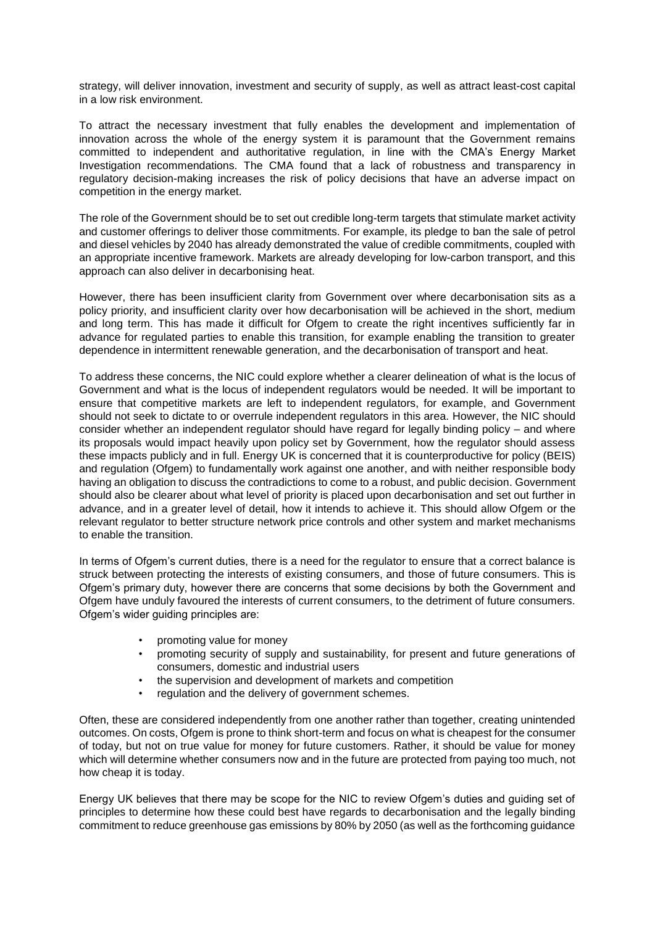strategy, will deliver innovation, investment and security of supply, as well as attract least-cost capital in a low risk environment.

To attract the necessary investment that fully enables the development and implementation of innovation across the whole of the energy system it is paramount that the Government remains committed to independent and authoritative regulation, in line with the CMA's Energy Market Investigation recommendations. The CMA found that a lack of robustness and transparency in regulatory decision-making increases the risk of policy decisions that have an adverse impact on competition in the energy market.

The role of the Government should be to set out credible long-term targets that stimulate market activity and customer offerings to deliver those commitments. For example, its pledge to ban the sale of petrol and diesel vehicles by 2040 has already demonstrated the value of credible commitments, coupled with an appropriate incentive framework. Markets are already developing for low-carbon transport, and this approach can also deliver in decarbonising heat.

However, there has been insufficient clarity from Government over where decarbonisation sits as a policy priority, and insufficient clarity over how decarbonisation will be achieved in the short, medium and long term. This has made it difficult for Ofgem to create the right incentives sufficiently far in advance for regulated parties to enable this transition, for example enabling the transition to greater dependence in intermittent renewable generation, and the decarbonisation of transport and heat.

To address these concerns, the NIC could explore whether a clearer delineation of what is the locus of Government and what is the locus of independent regulators would be needed. It will be important to ensure that competitive markets are left to independent regulators, for example, and Government should not seek to dictate to or overrule independent regulators in this area. However, the NIC should consider whether an independent regulator should have regard for legally binding policy – and where its proposals would impact heavily upon policy set by Government, how the regulator should assess these impacts publicly and in full. Energy UK is concerned that it is counterproductive for policy (BEIS) and regulation (Ofgem) to fundamentally work against one another, and with neither responsible body having an obligation to discuss the contradictions to come to a robust, and public decision. Government should also be clearer about what level of priority is placed upon decarbonisation and set out further in advance, and in a greater level of detail, how it intends to achieve it. This should allow Ofgem or the relevant regulator to better structure network price controls and other system and market mechanisms to enable the transition.

In terms of Ofgem's current duties, there is a need for the regulator to ensure that a correct balance is struck between protecting the interests of existing consumers, and those of future consumers. This is Ofgem's primary duty, however there are concerns that some decisions by both the Government and Ofgem have unduly favoured the interests of current consumers, to the detriment of future consumers. Ofgem's wider guiding principles are:

- promoting value for money
- promoting security of supply and sustainability, for present and future generations of consumers, domestic and industrial users
- the supervision and development of markets and competition
- regulation and the delivery of government schemes.

Often, these are considered independently from one another rather than together, creating unintended outcomes. On costs, Ofgem is prone to think short-term and focus on what is cheapest for the consumer of today, but not on true value for money for future customers. Rather, it should be value for money which will determine whether consumers now and in the future are protected from paying too much, not how cheap it is today.

Energy UK believes that there may be scope for the NIC to review Ofgem's duties and guiding set of principles to determine how these could best have regards to decarbonisation and the legally binding commitment to reduce greenhouse gas emissions by 80% by 2050 (as well as the forthcoming guidance